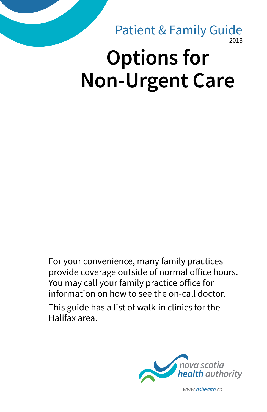# 2018 **Options for Non-Urgent Care** Patient & Family Guide

For your convenience, many family practices provide coverage outside of normal office hours. You may call your family practice office for information on how to see the on-call doctor. This guide has a list of walk-in clinics for the Halifax area.



*www.nshealth.ca*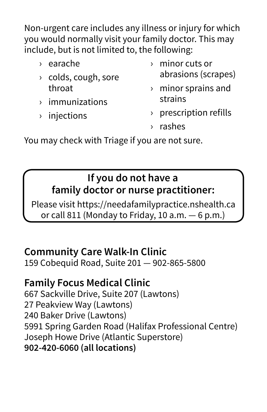Non-urgent care includes any illness or injury for which you would normally visit your family doctor. This may include, but is not limited to, the following:

- › earache
- › colds, cough, sore throat
- › immunizations
- › injections
- › minor cuts or abrasions (scrapes)
- › minor sprains and strains
- › prescription refills
- › rashes

You may check with Triage if you are not sure.

# **If you do not have a family doctor or nurse practitioner:**

Please visit https://needafamilypractice.nshealth.ca or call 811 (Monday to Friday, 10 a.m.  $-6$  p.m.)

# **Community Care Walk-In Clinic**

159 Cobequid Road, Suite 201 — 902-865-5800

# **Family Focus Medical Clinic**

667 Sackville Drive, Suite 207 (Lawtons) 27 Peakview Way (Lawtons) 240 Baker Drive (Lawtons) 5991 Spring Garden Road (Halifax Professional Centre) Joseph Howe Drive (Atlantic Superstore) **902-420-6060 (all locations)**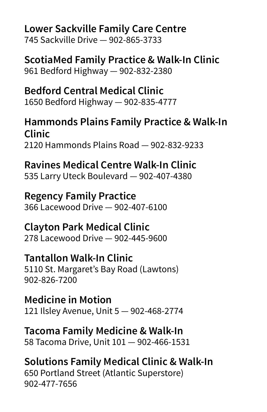### **Lower Sackville Family Care Centre**

745 Sackville Drive — 902-865-3733

**ScotiaMed Family Practice & Walk-In Clinic** 961 Bedford Highway — 902-832-2380

**Bedford Central Medical Clinic** 1650 Bedford Highway — 902-835-4777

# **Hammonds Plains Family Practice & Walk-In Clinic**

2120 Hammonds Plains Road — 902-832-9233

# **Ravines Medical Centre Walk-In Clinic**

535 Larry Uteck Boulevard — 902-407-4380

#### **Regency Family Practice**

366 Lacewood Drive — 902-407-6100

#### **Clayton Park Medical Clinic**

278 Lacewood Drive — 902-445-9600

### **Tantallon Walk-In Clinic**

5110 St. Margaret's Bay Road (Lawtons) 902-826-7200

**Medicine in Motion** 121 Ilsley Avenue, Unit 5 — 902-468-2774

#### **Tacoma Family Medicine & Walk-In**

58 Tacoma Drive, Unit 101 — 902-466-1531

# **Solutions Family Medical Clinic & Walk-In**

650 Portland Street (Atlantic Superstore) 902-477-7656